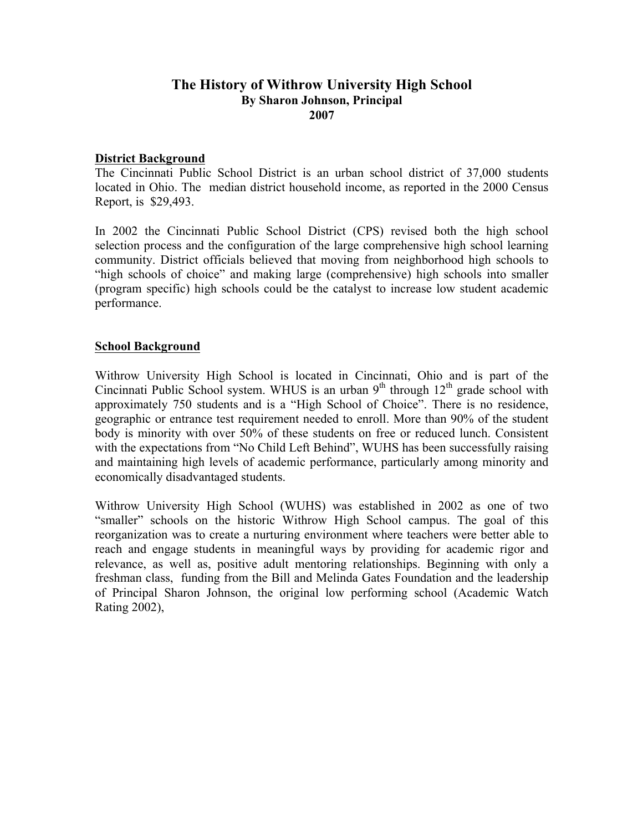## **The History of Withrow University High School By Sharon Johnson, Principal 2007**

## **District Background**

The Cincinnati Public School District is an urban school district of 37,000 students located in Ohio. The median district household income, as reported in the 2000 Census Report, is \$29,493.

In 2002 the Cincinnati Public School District (CPS) revised both the high school selection process and the configuration of the large comprehensive high school learning community. District officials believed that moving from neighborhood high schools to "high schools of choice" and making large (comprehensive) high schools into smaller (program specific) high schools could be the catalyst to increase low student academic performance.

### **School Background**

Withrow University High School is located in Cincinnati, Ohio and is part of the Cincinnati Public School system. WHUS is an urban  $9<sup>th</sup>$  through  $12<sup>th</sup>$  grade school with approximately 750 students and is a "High School of Choice". There is no residence, geographic or entrance test requirement needed to enroll. More than 90% of the student body is minority with over 50% of these students on free or reduced lunch. Consistent with the expectations from "No Child Left Behind", WUHS has been successfully raising and maintaining high levels of academic performance, particularly among minority and economically disadvantaged students.

Withrow University High School (WUHS) was established in 2002 as one of two "smaller" schools on the historic Withrow High School campus. The goal of this reorganization was to create a nurturing environment where teachers were better able to reach and engage students in meaningful ways by providing for academic rigor and relevance, as well as, positive adult mentoring relationships. Beginning with only a freshman class, funding from the Bill and Melinda Gates Foundation and the leadership of Principal Sharon Johnson, the original low performing school (Academic Watch Rating 2002),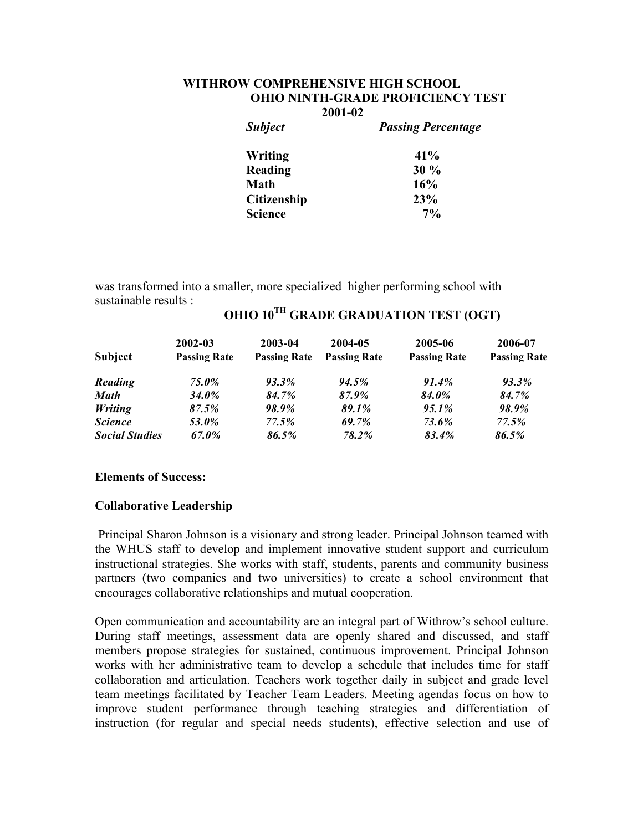### **WITHROW COMPREHENSIVE HIGH SCHOOL OHIO NINTH-GRADE PROFICIENCY TEST 2001-02**

| <b>Subject</b>     | <b>Passing Percentage</b> |  |  |
|--------------------|---------------------------|--|--|
| Writing            | 41%                       |  |  |
| Reading            | $30\%$                    |  |  |
| <b>Math</b>        | 16%                       |  |  |
| <b>Citizenship</b> | 23%                       |  |  |
| <b>Science</b>     | $7\%$                     |  |  |

was transformed into a smaller, more specialized higher performing school with sustainable results :

| Subject               | $2002 - 03$<br><b>Passing Rate</b> | 2003-04<br><b>Passing Rate</b> | 2004-05<br><b>Passing Rate</b> | 2005-06<br><b>Passing Rate</b> | 2006-07<br><b>Passing Rate</b> |
|-----------------------|------------------------------------|--------------------------------|--------------------------------|--------------------------------|--------------------------------|
|                       |                                    |                                |                                |                                |                                |
| <b>Math</b>           | <b>34.0%</b>                       | 84.7%                          | 87.9%                          | <b>84.0%</b>                   | 84.7%                          |
| <b>Writing</b>        | 87.5%                              | 98.9%                          | 89.1%                          | $95.1\%$                       | <b>98.9%</b>                   |
| <i><b>Science</b></i> | <b>53.0%</b>                       | 77.5%                          | 69.7%                          | 73.6%                          | 77.5%                          |
| <b>Social Studies</b> | 67.0%                              | 86.5%                          | 78.2%                          | 83.4%                          | 86.5%                          |

# **OHIO 10TH GRADE GRADUATION TEST (OGT)**

#### **Elements of Success:**

## **Collaborative Leadership**

Principal Sharon Johnson is a visionary and strong leader. Principal Johnson teamed with the WHUS staff to develop and implement innovative student support and curriculum instructional strategies. She works with staff, students, parents and community business partners (two companies and two universities) to create a school environment that encourages collaborative relationships and mutual cooperation.

Open communication and accountability are an integral part of Withrow's school culture. During staff meetings, assessment data are openly shared and discussed, and staff members propose strategies for sustained, continuous improvement. Principal Johnson works with her administrative team to develop a schedule that includes time for staff collaboration and articulation. Teachers work together daily in subject and grade level team meetings facilitated by Teacher Team Leaders. Meeting agendas focus on how to improve student performance through teaching strategies and differentiation of instruction (for regular and special needs students), effective selection and use of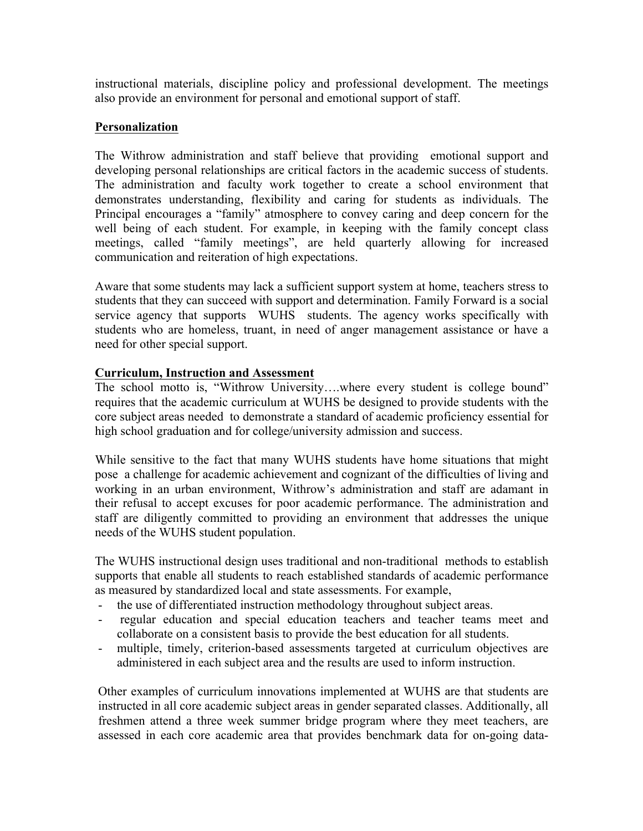instructional materials, discipline policy and professional development. The meetings also provide an environment for personal and emotional support of staff.

# **Personalization**

The Withrow administration and staff believe that providing emotional support and developing personal relationships are critical factors in the academic success of students. The administration and faculty work together to create a school environment that demonstrates understanding, flexibility and caring for students as individuals. The Principal encourages a "family" atmosphere to convey caring and deep concern for the well being of each student. For example, in keeping with the family concept class meetings, called "family meetings", are held quarterly allowing for increased communication and reiteration of high expectations.

Aware that some students may lack a sufficient support system at home, teachers stress to students that they can succeed with support and determination. Family Forward is a social service agency that supports WUHS students. The agency works specifically with students who are homeless, truant, in need of anger management assistance or have a need for other special support.

# **Curriculum, Instruction and Assessment**

The school motto is, "Withrow University….where every student is college bound" requires that the academic curriculum at WUHS be designed to provide students with the core subject areas needed to demonstrate a standard of academic proficiency essential for high school graduation and for college/university admission and success.

While sensitive to the fact that many WUHS students have home situations that might pose a challenge for academic achievement and cognizant of the difficulties of living and working in an urban environment, Withrow's administration and staff are adamant in their refusal to accept excuses for poor academic performance. The administration and staff are diligently committed to providing an environment that addresses the unique needs of the WUHS student population.

The WUHS instructional design uses traditional and non-traditional methods to establish supports that enable all students to reach established standards of academic performance as measured by standardized local and state assessments. For example,

- the use of differentiated instruction methodology throughout subject areas.
- regular education and special education teachers and teacher teams meet and collaborate on a consistent basis to provide the best education for all students.
- multiple, timely, criterion-based assessments targeted at curriculum objectives are administered in each subject area and the results are used to inform instruction.

Other examples of curriculum innovations implemented at WUHS are that students are instructed in all core academic subject areas in gender separated classes. Additionally, all freshmen attend a three week summer bridge program where they meet teachers, are assessed in each core academic area that provides benchmark data for on-going data